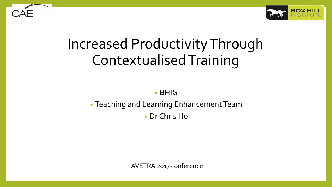

# Increased Productivity Through ContextualisedTraining

• BHIG

• Teaching and Learning Enhancement Team • Dr Chris Ho

AVETRA 2017 conference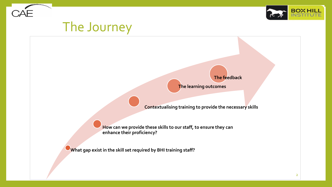



# The Journey

**The feedback**

**The learning outcomes**

**Contextualising training to provide the necessary skills**

**How can we provide these skills to our staff, to ensure they can enhance their proficiency?**

**What gap exist in the skill set required by BHI training staff?**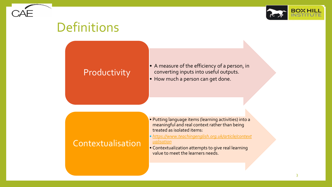

#### Definitions

#### **Productivity**

• A measure of the efficiency of a person, in converting inputs into useful outputs. • How much a person can get done.

#### **Contextualisation**

- Putting language items (learning activities) into a meaningful and real context rather than being treated as isolated items:
- *[https://www.teachingenglish.org.uk/article/context](https://www.teachingenglish.org.uk/article/contextualisation) ualisation*
- Contextualization attempts to give real learning value to meet the learners needs.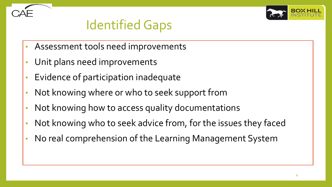

# Identified Gaps

- Assessment tools need improvements
- Unit plans need improvements
- Evidence of participation inadequate
- Not knowing where or who to seek support from
- Not knowing how to access quality documentations
- Not knowing who to seek advice from, for the issues they faced
- No real comprehension of the Learning Management System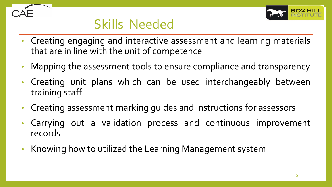

### Skills Needed

- Creating engaging and interactive assessment and learning materials that are in line with the unit of competence
- Mapping the assessment tools to ensure compliance and transparency
- Creating unit plans which can be used interchangeably between training staff
- Creating assessment marking guides and instructions for assessors
- Carrying out a validation process and continuous improvement records
- Knowing how to utilized the Learning Management system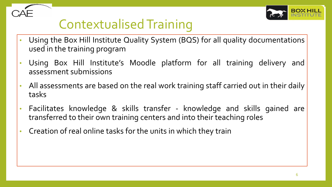

# ContextualisedTraining

- Using the Box Hill Institute Quality System (BQS) for all quality documentations used in the training program
- Using Box Hill Institute's Moodle platform for all training delivery and assessment submissions
- All assessments are based on the real work training staff carried out in their daily tasks
- Facilitates knowledge & skills transfer knowledge and skills gained are transferred to their own training centers and into their teaching roles
- Creation of real online tasks for the units in which they train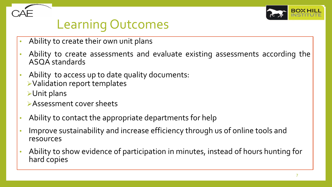

### Learning Outcomes

- Ability to create their own unit plans
- Ability to create assessments and evaluate existing assessments according the ASQA standards
- Ability to access up to date quality documents: ➢Validation report templates
	- ➢Unit plans
	- ➢Assessment cover sheets
- Ability to contact the appropriate departments for help
- Improve sustainability and increase efficiency through us of online tools and resources
- Ability to show evidence of participation in minutes, instead of hours hunting for hard copies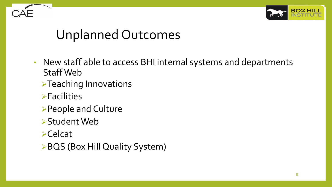

### Unplanned Outcomes

- New staff able to access BHI internal systems and departments Staff Web
	- ➢Teaching Innovations
	- ➢Facilities
	- ➢People and Culture
	- ➢Student Web
	- ➢Celcat
	- ➢BQS (Box Hill Quality System)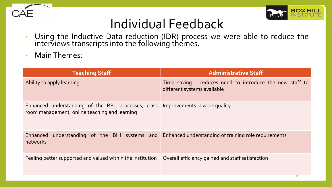



### Individual Feedback

- Using the Inductive Data reduction (IDR) process we were able to reduce the interviews transcripts into the following themes.
- Main Themes:

| <b>Teaching Staff</b>                                                                                                            | <b>Administrative Staff</b>                                                               |
|----------------------------------------------------------------------------------------------------------------------------------|-------------------------------------------------------------------------------------------|
| Ability to apply learning                                                                                                        | Time saving $-$ reduces need to introduce the new staff to<br>different systems available |
| Enhanced understanding of the RPL processes, class Improvements in work quality<br>room management, online teaching and learning |                                                                                           |
| Enhanced<br>networks                                                                                                             | understanding of the BHI systems and Enhanced understanding of training role requirements |
| Feeling better supported and valued within the institution                                                                       | Overall efficiency gained and staff satisfaction                                          |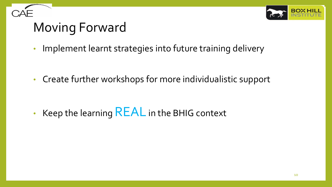

# Moving Forward

• Implement learnt strategies into future training delivery

• Create further workshops for more individualistic support

• Keep the learning  $REAL$  in the BHIG context